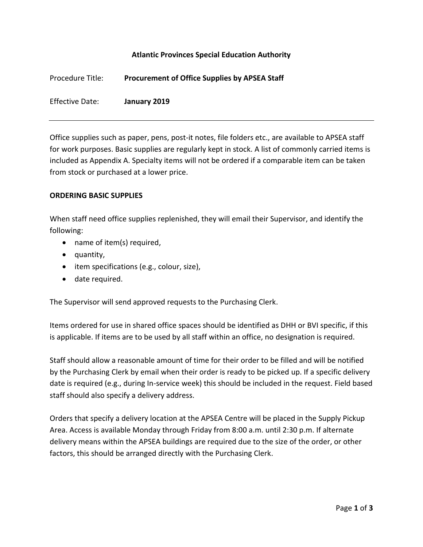## **Atlantic Provinces Special Education Authority**

| Procedure Title: | <b>Procurement of Office Supplies by APSEA Staff</b> |
|------------------|------------------------------------------------------|
| Effective Date:  | January 2019                                         |

Office supplies such as paper, pens, post-it notes, file folders etc., are available to APSEA staff for work purposes. Basic supplies are regularly kept in stock. A list of commonly carried items is included as Appendix A. Specialty items will not be ordered if a comparable item can be taken from stock or purchased at a lower price.

## **ORDERING BASIC SUPPLIES**

When staff need office supplies replenished, they will email their Supervisor, and identify the following:

- name of item(s) required,
- quantity,
- item specifications (e.g., colour, size),
- date required.

The Supervisor will send approved requests to the Purchasing Clerk.

Items ordered for use in shared office spaces should be identified as DHH or BVI specific, if this is applicable. If items are to be used by all staff within an office, no designation is required.

Staff should allow a reasonable amount of time for their order to be filled and will be notified by the Purchasing Clerk by email when their order is ready to be picked up. If a specific delivery date is required (e.g., during In-service week) this should be included in the request. Field based staff should also specify a delivery address.

Orders that specify a delivery location at the APSEA Centre will be placed in the Supply Pickup Area. Access is available Monday through Friday from 8:00 a.m. until 2:30 p.m. If alternate delivery means within the APSEA buildings are required due to the size of the order, or other factors, this should be arranged directly with the Purchasing Clerk.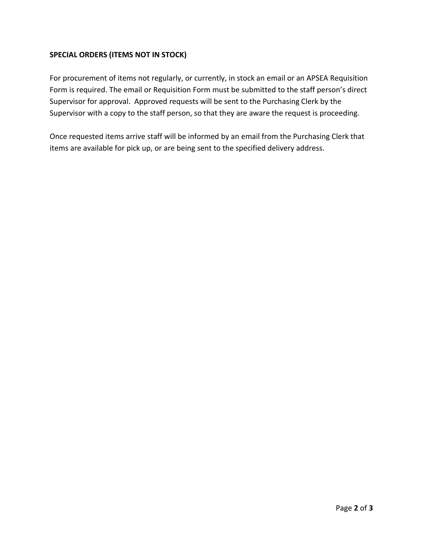## **SPECIAL ORDERS (ITEMS NOT IN STOCK)**

For procurement of items not regularly, or currently, in stock an email or an APSEA Requisition Form is required. The email or Requisition Form must be submitted to the staff person's direct Supervisor for approval. Approved requests will be sent to the Purchasing Clerk by the Supervisor with a copy to the staff person, so that they are aware the request is proceeding.

Once requested items arrive staff will be informed by an email from the Purchasing Clerk that items are available for pick up, or are being sent to the specified delivery address.